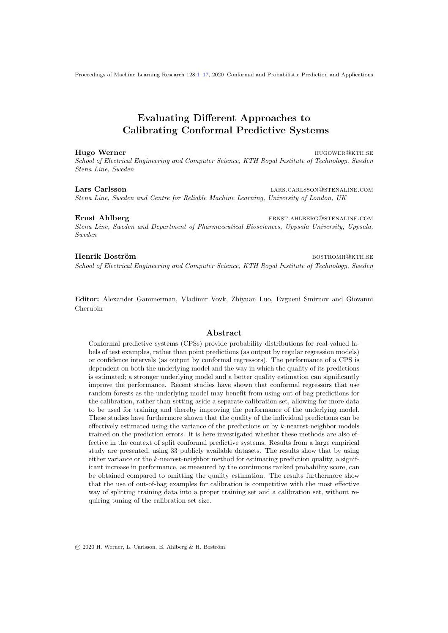#### Hugo Werner **hugower@kth.set also were also were distributed** to the set of the set of the set of the set of the set of the set of the set of the set of the set of the set of the set of the set of the set of the set of the

*School of Electrical Engineering and Computer Science, KTH Royal Institute of Technology, Sweden Stena Line, Sweden*

Lars Carlsson lars.carlsson@stenaline.com *Stena Line, Sweden and Centre for Reliable Machine Learning, University of London, UK*

Ernst Ahlberg ernstrukture.com ernstrukture.com ernstrukture.com ernstrukture.com ernstrukture.com ernstrukture.com *Stena Line, Sweden and Department of Pharmaceutical Biosciences, Uppsala University, Uppsala, Sweden*

#### Henrik Boström bostrom bostromholden bostromholden bostromholden bostromholden bostromholden bostromholden bost

*School of Electrical Engineering and Computer Science, KTH Royal Institute of Technology, Sweden*

Editor: Alexander Gammerman, Vladimir Vovk, Zhiyuan Luo, Evgueni Smirnov and Giovanni Cherubin

#### Abstract

Conformal predictive systems (CPSs) provide probability distributions for real-valued labels of test examples, rather than point predictions (as output by regular regression models) or confidence intervals (as output by conformal regressors). The performance of a CPS is dependent on both the underlying model and the way in which the quality of its predictions is estimated; a stronger underlying model and a better quality estimation can significantly improve the performance. Recent studies have shown that conformal regressors that use random forests as the underlying model may benefit from using out-of-bag predictions for the calibration, rather than setting aside a separate calibration set, allowing for more data to be used for training and thereby improving the performance of the underlying model. These studies have furthermore shown that the quality of the individual predictions can be effectively estimated using the variance of the predictions or by *k*-nearest-neighbor models trained on the prediction errors. It is here investigated whether these methods are also effective in the context of split conformal predictive systems. Results from a large empirical study are presented, using 33 publicly available datasets. The results show that by using either variance or the *k*-nearest-neighbor method for estimating prediction quality, a significant increase in performance, as measured by the continuous ranked probability score, can be obtained compared to omitting the quality estimation. The results furthermore show that the use of out-of-bag examples for calibration is competitive with the most effective way of splitting training data into a proper training set and a calibration set, without requiring tuning of the calibration set size.

 $C$  2020 H. Werner, L. Carlsson, E. Ahlberg & H. Boström.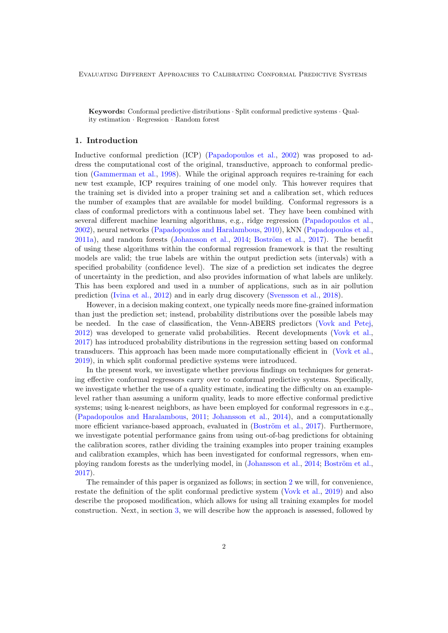Keywords: Conformal predictive distributions *·* Split conformal predictive systems *·* Quality estimation *·* Regression *·* Random forest

#### 1. Introduction

Inductive conformal prediction (ICP) (Papadopoulos et al., 2002) was proposed to address the computational cost of the original, transductive, approach to conformal prediction (Gammerman et al., 1998). While the original approach requires re-training for each new test example, ICP requires training of one model only. This however requires that the training set is divided into a proper training set and a calibration set, which reduces the number of examples that are available for model building. Conformal regressors is a class of conformal predictors with a continuous label set. They have been combined with several different machine learning algorithms, e.g., ridge regression (Papadopoulos et al., 2002), neural networks (Papadopoulos and Haralambous, 2010), kNN (Papadopoulos et al.,  $2011a$ , and random forests (Johansson et al.,  $2014$ ; Boström et al.,  $2017$ ). The benefit of using these algorithms within the conformal regression framework is that the resulting models are valid; the true labels are within the output prediction sets (intervals) with a specified probability (confidence level). The size of a prediction set indicates the degree of uncertainty in the prediction, and also provides information of what labels are unlikely. This has been explored and used in a number of applications, such as in air pollution prediction (Ivina et al., 2012) and in early drug discovery (Svensson et al., 2018).

However, in a decision making context, one typically needs more fine-grained information than just the prediction set; instead, probability distributions over the possible labels may be needed. In the case of classification, the Venn-ABERS predictors (Vovk and Petej, 2012) was developed to generate valid probabilities. Recent developments (Vovk et al., 2017) has introduced probability distributions in the regression setting based on conformal transducers. This approach has been made more computationally efficient in (Vovk et al., 2019), in which split conformal predictive systems were introduced.

In the present work, we investigate whether previous findings on techniques for generating effective conformal regressors carry over to conformal predictive systems. Specifically, we investigate whether the use of a quality estimate, indicating the difficulty on an examplelevel rather than assuming a uniform quality, leads to more effective conformal predictive systems; using k-nearest neighbors, as have been employed for conformal regressors in e.g., (Papadopoulos and Haralambous, 2011; Johansson et al., 2014), and a computationally more efficient variance-based approach, evaluated in (Boström et al., 2017). Furthermore, we investigate potential performance gains from using out-of-bag predictions for obtaining the calibration scores, rather dividing the training examples into proper training examples and calibration examples, which has been investigated for conformal regressors, when employing random forests as the underlying model, in (Johansson et al., 2014; Boström et al., 2017).

The remainder of this paper is organized as follows; in section 2 we will, for convenience, restate the definition of the split conformal predictive system (Vovk et al., 2019) and also describe the proposed modification, which allows for using all training examples for model construction. Next, in section 3, we will describe how the approach is assessed, followed by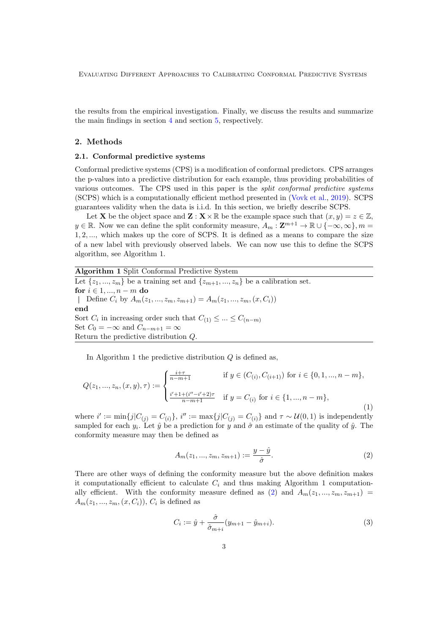the results from the empirical investigation. Finally, we discuss the results and summarize the main findings in section 4 and section 5, respectively.

#### 2. Methods

### 2.1. Conformal predictive systems

Conformal predictive systems (CPS) is a modification of conformal predictors. CPS arranges the p-values into a predictive distribution for each example, thus providing probabilities of various outcomes. The CPS used in this paper is the *split conformal predictive systems* (SCPS) which is a computationally efficient method presented in (Vovk et al., 2019). SCPS guarantees validity when the data is i.i.d. In this section, we briefly describe SCPS.

Let **X** be the object space and **Z** :  $\mathbf{X} \times \mathbb{R}$  be the example space such that  $(x, y) = z \in \mathbb{Z}$ ,  $y \in \mathbb{R}$ . Now we can define the split conformity measure,  $A_m : \mathbf{Z}^{m+1} \to \mathbb{R} \cup \{-\infty, \infty\}, m =$ 1*,* 2*, ...*, which makes up the core of SCPS. It is defined as a means to compare the size of a new label with previously observed labels. We can now use this to define the SCPS algorithm, see Algorithm 1.

Algorithm 1 Split Conformal Predictive System

Let  $\{z_1, ..., z_m\}$  be a training set and  $\{z_{m+1}, ..., z_n\}$  be a calibration set. for  $i \in 1, ..., n-m$  do  $\Box$  Define  $C_i$  by  $A_m(z_1, ..., z_m, z_{m+1}) = A_m(z_1, ..., z_m, (x, C_i))$ end Sort  $C_i$  in increasing order such that  $C_{(1)} \leq ... \leq C_{(n-m)}$ Set  $C_0 = -\infty$  and  $C_{n-m+1} = \infty$ Return the predictive distribution *Q*.

In Algorithm 1 the predictive distribution *Q* is defined as,

$$
Q(z_1, ..., z_n, (x, y), \tau) := \begin{cases} \frac{i+\tau}{n-m+1} & \text{if } y \in (C_{(i)}, C_{(i+1)}) \text{ for } i \in \{0, 1, ..., n-m\}, \\ \frac{i'+1+(i''-i'+2)\tau}{n-m+1} & \text{if } y = C_{(i)} \text{ for } i \in \{1, ..., n-m\}, \end{cases} \tag{1}
$$

where  $i' := \min\{j|C_{(j)} = C_{(i)}\}, i'' := \max\{j|C_{(j)} = C_{(i)}\}$  and  $\tau \sim \mathcal{U}(0, 1)$  is independently sampled for each  $y_i$ . Let  $\hat{y}$  be a prediction for y and  $\hat{\sigma}$  an estimate of the quality of  $\hat{y}$ . The conformity measure may then be defined as

$$
A_m(z_1, ..., z_m, z_{m+1}) := \frac{y - \hat{y}}{\hat{\sigma}}.
$$
\n(2)

There are other ways of defining the conformity measure but the above definition makes it computationally efficient to calculate  $C_i$  and thus making Algorithm 1 computationally efficient. With the conformity measure defined as (2) and  $A_m(z_1, ..., z_m, z_{m+1})$  $A_m(z_1, ..., z_m, (x, C_i))$ ,  $C_i$  is defined as

$$
C_i := \hat{y} + \frac{\hat{\sigma}}{\hat{\sigma}_{m+i}}(y_{m+1} - \hat{y}_{m+i}).
$$
\n(3)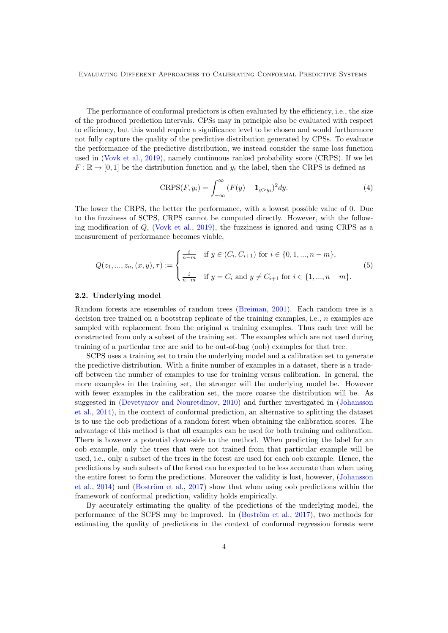The performance of conformal predictors is often evaluated by the efficiency, i.e., the size of the produced prediction intervals. CPSs may in principle also be evaluated with respect to efficiency, but this would require a significance level to be chosen and would furthermore not fully capture the quality of the predictive distribution generated by CPSs. To evaluate the performance of the predictive distribution, we instead consider the same loss function used in (Vovk et al., 2019), namely continuous ranked probability score (CRPS). If we let  $F: \mathbb{R} \to [0,1]$  be the distribution function and  $y_i$  the label, then the CRPS is defined as

$$
CRPS(F, y_i) = \int_{-\infty}^{\infty} (F(y) - \mathbf{1}_{y>y_i})^2 dy.
$$
 (4)

The lower the CRPS, the better the performance, with a lowest possible value of 0. Due to the fuzziness of SCPS, CRPS cannot be computed directly. However, with the following modification of *Q*, (Vovk et al., 2019), the fuzziness is ignored and using CRPS as a measurement of performance becomes viable,

$$
Q(z_1, ..., z_n, (x, y), \tau) := \begin{cases} \frac{i}{n-m} & \text{if } y \in (C_i, C_{i+1}) \text{ for } i \in \{0, 1, ..., n-m\}, \\ \frac{i}{n-m} & \text{if } y = C_i \text{ and } y \neq C_{i+1} \text{ for } i \in \{1, ..., n-m\}. \end{cases}
$$
(5)

#### 2.2. Underlying model

Random forests are ensembles of random trees (Breiman, 2001). Each random tree is a decision tree trained on a bootstrap replicate of the training examples, i.e., *n* examples are sampled with replacement from the original *n* training examples. Thus each tree will be constructed from only a subset of the training set. The examples which are not used during training of a particular tree are said to be out-of-bag (oob) examples for that tree.

SCPS uses a training set to train the underlying model and a calibration set to generate the predictive distribution. With a finite number of examples in a dataset, there is a tradeoff between the number of examples to use for training versus calibration. In general, the more examples in the training set, the stronger will the underlying model be. However with fewer examples in the calibration set, the more coarse the distribution will be. As suggested in (Devetyarov and Nouretdinov, 2010) and further investigated in (Johansson et al., 2014), in the context of conformal prediction, an alternative to splitting the dataset is to use the oob predictions of a random forest when obtaining the calibration scores. The advantage of this method is that all examples can be used for both training and calibration. There is however a potential down-side to the method. When predicting the label for an oob example, only the trees that were not trained from that particular example will be used, i.e., only a subset of the trees in the forest are used for each oob example. Hence, the predictions by such subsets of the forest can be expected to be less accurate than when using the entire forest to form the predictions. Moreover the validity is lost, however, (Johansson et al.,  $2014$ ) and (Boström et al.,  $2017$ ) show that when using oob predictions within the framework of conformal prediction, validity holds empirically.

By accurately estimating the quality of the predictions of the underlying model, the performance of the SCPS may be improved. In  $(Boström$  et al., 2017), two methods for estimating the quality of predictions in the context of conformal regression forests were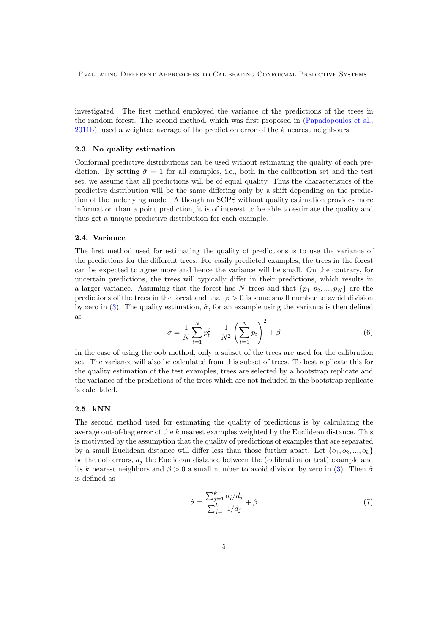investigated. The first method employed the variance of the predictions of the trees in the random forest. The second method, which was first proposed in (Papadopoulos et al., 2011b), used a weighted average of the prediction error of the *k* nearest neighbours.

### 2.3. No quality estimation

Conformal predictive distributions can be used without estimating the quality of each prediction. By setting  $\hat{\sigma} = 1$  for all examples, i.e., both in the calibration set and the test set, we assume that all predictions will be of equal quality. Thus the characteristics of the predictive distribution will be the same differing only by a shift depending on the prediction of the underlying model. Although an SCPS without quality estimation provides more information than a point prediction, it is of interest to be able to estimate the quality and thus get a unique predictive distribution for each example.

#### 2.4. Variance

The first method used for estimating the quality of predictions is to use the variance of the predictions for the different trees. For easily predicted examples, the trees in the forest can be expected to agree more and hence the variance will be small. On the contrary, for uncertain predictions, the trees will typically differ in their predictions, which results in a larger variance. Assuming that the forest has *N* trees and that  $\{p_1, p_2, ..., p_N\}$  are the predictions of the trees in the forest and that  $\beta > 0$  is some small number to avoid division by zero in (3). The quality estimation,  $\hat{\sigma}$ , for an example using the variance is then defined as

$$
\hat{\sigma} = \frac{1}{N} \sum_{t=1}^{N} p_t^2 - \frac{1}{N^2} \left( \sum_{t=1}^{N} p_t \right)^2 + \beta \tag{6}
$$

In the case of using the oob method, only a subset of the trees are used for the calibration set. The variance will also be calculated from this subset of trees. To best replicate this for the quality estimation of the test examples, trees are selected by a bootstrap replicate and the variance of the predictions of the trees which are not included in the bootstrap replicate is calculated.

### 2.5. kNN

The second method used for estimating the quality of predictions is by calculating the average out-of-bag error of the *k* nearest examples weighted by the Euclidean distance. This is motivated by the assumption that the quality of predictions of examples that are separated by a small Euclidean distance will differ less than those further apart. Let  $\{o_1, o_2, ..., o_k\}$ be the oob errors,  $d_i$  the Euclidean distance between the (calibration or test) example and its *k* nearest neighbors and  $\beta > 0$  a small number to avoid division by zero in (3). Then  $\hat{\sigma}$ is defined as

$$
\hat{\sigma} = \frac{\sum_{j=1}^{k} o_j / d_j}{\sum_{j=1}^{k} 1 / d_j} + \beta \tag{7}
$$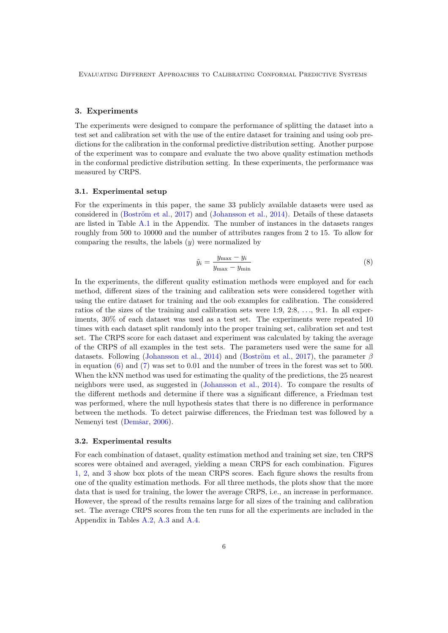#### 3. Experiments

The experiments were designed to compare the performance of splitting the dataset into a test set and calibration set with the use of the entire dataset for training and using oob predictions for the calibration in the conformal predictive distribution setting. Another purpose of the experiment was to compare and evaluate the two above quality estimation methods in the conformal predictive distribution setting. In these experiments, the performance was measured by CRPS.

#### 3.1. Experimental setup

For the experiments in this paper, the same 33 publicly available datasets were used as considered in  $(Boström et al., 2017)$  and  $(Johansson et al., 2014)$ . Details of these datasets are listed in Table A.1 in the Appendix. The number of instances in the datasets ranges roughly from 500 to 10000 and the number of attributes ranges from 2 to 15. To allow for comparing the results, the labels (*y*) were normalized by

$$
\tilde{y}_i = \frac{y_{\text{max}} - y_i}{y_{\text{max}} - y_{\text{min}}}
$$
\n(8)

In the experiments, the different quality estimation methods were employed and for each method, different sizes of the training and calibration sets were considered together with using the entire dataset for training and the oob examples for calibration. The considered ratios of the sizes of the training and calibration sets were 1:9, 2:8, *...*, 9:1. In all experiments, 30% of each dataset was used as a test set. The experiments were repeated 10 times with each dataset split randomly into the proper training set, calibration set and test set. The CRPS score for each dataset and experiment was calculated by taking the average of the CRPS of all examples in the test sets. The parameters used were the same for all datasets. Following (Johansson et al., 2014) and (Boström et al., 2017), the parameter  $\beta$ in equation  $(6)$  and  $(7)$  was set to 0.01 and the number of trees in the forest was set to 500. When the kNN method was used for estimating the quality of the predictions, the 25 nearest neighbors were used, as suggested in (Johansson et al., 2014). To compare the results of the different methods and determine if there was a significant difference, a Friedman test was performed, where the null hypothesis states that there is no difference in performance between the methods. To detect pairwise differences, the Friedman test was followed by a Nemenyi test (Demšar, 2006).

#### 3.2. Experimental results

For each combination of dataset, quality estimation method and training set size, ten CRPS scores were obtained and averaged, yielding a mean CRPS for each combination. Figures 1, 2, and 3 show box plots of the mean CRPS scores. Each figure shows the results from one of the quality estimation methods. For all three methods, the plots show that the more data that is used for training, the lower the average CRPS, i.e., an increase in performance. However, the spread of the results remains large for all sizes of the training and calibration set. The average CRPS scores from the ten runs for all the experiments are included in the Appendix in Tables A.2, A.3 and A.4.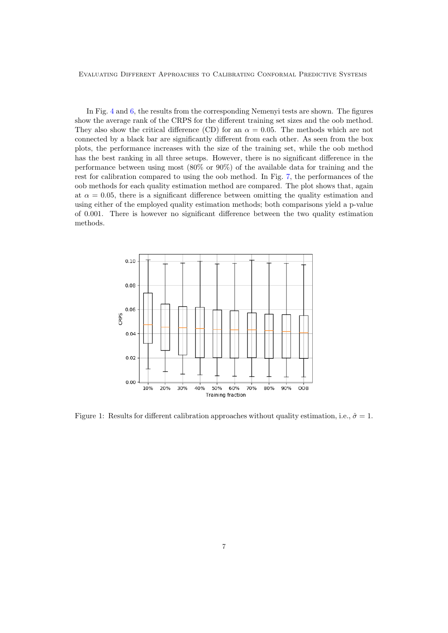In Fig. 4 and 6, the results from the corresponding Nemenyi tests are shown. The figures show the average rank of the CRPS for the different training set sizes and the oob method. They also show the critical difference (CD) for an  $\alpha = 0.05$ . The methods which are not connected by a black bar are significantly different from each other. As seen from the box plots, the performance increases with the size of the training set, while the oob method has the best ranking in all three setups. However, there is no significant difference in the performance between using most (80% or 90%) of the available data for training and the rest for calibration compared to using the oob method. In Fig. 7, the performances of the oob methods for each quality estimation method are compared. The plot shows that, again at  $\alpha = 0.05$ , there is a significant difference between omitting the quality estimation and using either of the employed quality estimation methods; both comparisons yield a p-value of  $0.001$ . There is however no significant difference between the two quality estimation methods.



Figure 1: Results for different calibration approaches without quality estimation, i.e.,  $\hat{\sigma} = 1$ .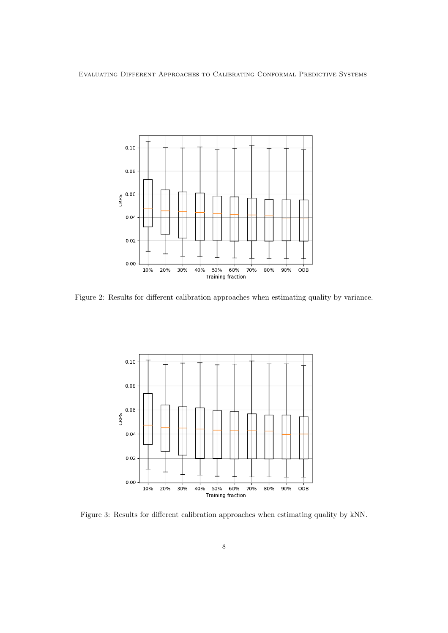

Figure 2: Results for different calibration approaches when estimating quality by variance.



Figure 3: Results for different calibration approaches when estimating quality by kNN.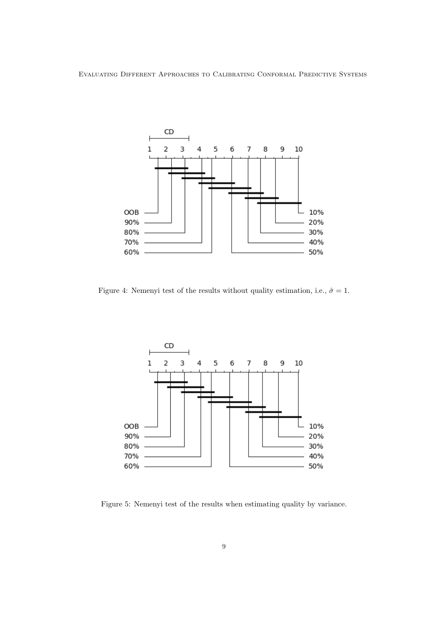

Figure 4: Nemenyi test of the results without quality estimation, i.e.,  $\hat{\sigma} = 1$ .



Figure 5: Nemenyi test of the results when estimating quality by variance.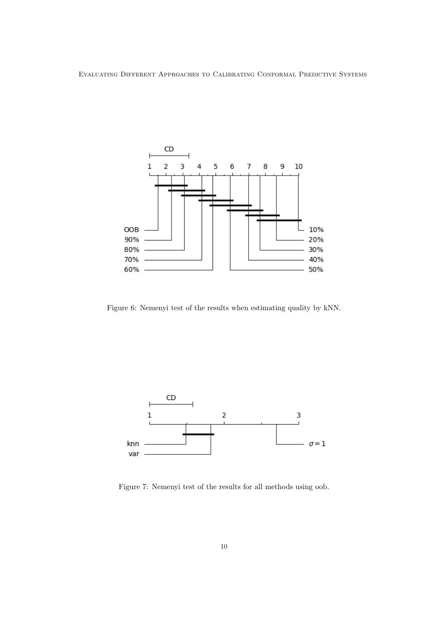

Figure 6: Nemenyi test of the results when estimating quality by kNN.



Figure 7: Nemenyi test of the results for all methods using oob.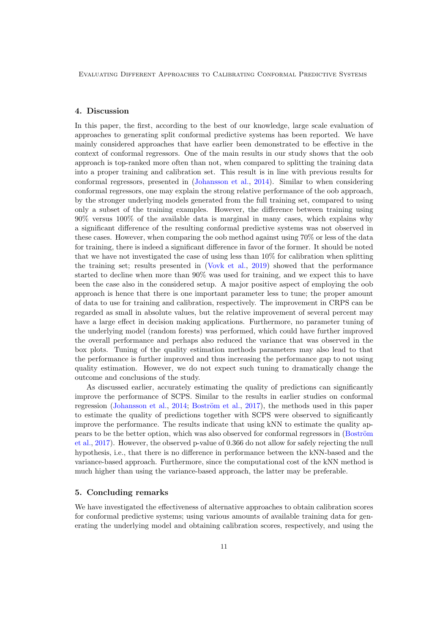## 4. Discussion

In this paper, the first, according to the best of our knowledge, large scale evaluation of approaches to generating split conformal predictive systems has been reported. We have mainly considered approaches that have earlier been demonstrated to be effective in the context of conformal regressors. One of the main results in our study shows that the oob approach is top-ranked more often than not, when compared to splitting the training data into a proper training and calibration set. This result is in line with previous results for conformal regressors, presented in (Johansson et al., 2014). Similar to when considering conformal regressors, one may explain the strong relative performance of the oob approach, by the stronger underlying models generated from the full training set, compared to using only a subset of the training examples. However, the difference between training using 90% versus 100% of the available data is marginal in many cases, which explains why a significant difference of the resulting conformal predictive systems was not observed in these cases. However, when comparing the oob method against using 70% or less of the data for training, there is indeed a significant difference in favor of the former. It should be noted that we have not investigated the case of using less than 10% for calibration when splitting the training set; results presented in (Vovk et al., 2019) showed that the performance started to decline when more than 90% was used for training, and we expect this to have been the case also in the considered setup. A major positive aspect of employing the oob approach is hence that there is one important parameter less to tune; the proper amount of data to use for training and calibration, respectively. The improvement in CRPS can be regarded as small in absolute values, but the relative improvement of several percent may have a large effect in decision making applications. Furthermore, no parameter tuning of the underlying model (random forests) was performed, which could have further improved the overall performance and perhaps also reduced the variance that was observed in the box plots. Tuning of the quality estimation methods parameters may also lead to that the performance is further improved and thus increasing the performance gap to not using quality estimation. However, we do not expect such tuning to dramatically change the outcome and conclusions of the study.

As discussed earlier, accurately estimating the quality of predictions can significantly improve the performance of SCPS. Similar to the results in earlier studies on conformal regression (Johansson et al., 2014; Boström et al., 2017), the methods used in this paper to estimate the quality of predictions together with SCPS were observed to significantly improve the performance. The results indicate that using kNN to estimate the quality appears to be the better option, which was also observed for conformal regressors in (Boström et al., 2017). However, the observed p-value of 0.366 do not allow for safely rejecting the null hypothesis, i.e., that there is no difference in performance between the kNN-based and the variance-based approach. Furthermore, since the computational cost of the kNN method is much higher than using the variance-based approach, the latter may be preferable.

## 5. Concluding remarks

We have investigated the effectiveness of alternative approaches to obtain calibration scores for conformal predictive systems; using various amounts of available training data for generating the underlying model and obtaining calibration scores, respectively, and using the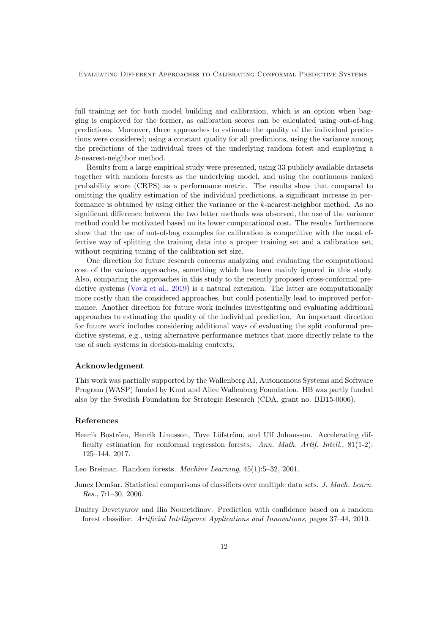full training set for both model building and calibration, which is an option when bagging is employed for the former, as calibration scores can be calculated using out-of-bag predictions. Moreover, three approaches to estimate the quality of the individual predictions were considered; using a constant quality for all predictions, using the variance among the predictions of the individual trees of the underlying random forest and employing a *k*-nearest-neighbor method.

Results from a large empirical study were presented, using 33 publicly available datasets together with random forests as the underlying model, and using the continuous ranked probability score (CRPS) as a performance metric. The results show that compared to omitting the quality estimation of the individual predictions, a significant increase in performance is obtained by using either the variance or the *k*-nearest-neighbor method. As no significant difference between the two latter methods was observed, the use of the variance method could be motivated based on its lower computational cost. The results furthermore show that the use of out-of-bag examples for calibration is competitive with the most effective way of splitting the training data into a proper training set and a calibration set, without requiring tuning of the calibration set size.

One direction for future research concerns analyzing and evaluating the computational cost of the various approaches, something which has been mainly ignored in this study. Also, comparing the approaches in this study to the recently proposed cross-conformal predictive systems (Vovk et al., 2019) is a natural extension. The latter are computationally more costly than the considered approaches, but could potentially lead to improved performance. Another direction for future work includes investigating and evaluating additional approaches to estimating the quality of the individual prediction. An important direction for future work includes considering additional ways of evaluating the split conformal predictive systems, e.g., using alternative performance metrics that more directly relate to the use of such systems in decision-making contexts,

#### Acknowledgment

This work was partially supported by the Wallenberg AI, Autonomous Systems and Software Program (WASP) funded by Knut and Alice Wallenberg Foundation. HB was partly funded also by the Swedish Foundation for Strategic Research (CDA, grant no. BD15-0006).

#### References

Henrik Boström, Henrik Linusson, Tuve Löfström, and Ulf Johansson. Accelerating difficulty estimation for conformal regression forests. *Ann. Math. Artif. Intell.*, 81(1-2): 125–144, 2017.

Leo Breiman. Random forests. *Machine Learning*, 45(1):5–32, 2001.

- Janez Demšar. Statistical comparisons of classifiers over multiple data sets. *J. Mach. Learn. Res.*, 7:1–30, 2006.
- Dmitry Devetyarov and Ilia Nouretdinov. Prediction with confidence based on a random forest classifier. *Artificial Intelligence Applications and Innovations*, pages 37–44, 2010.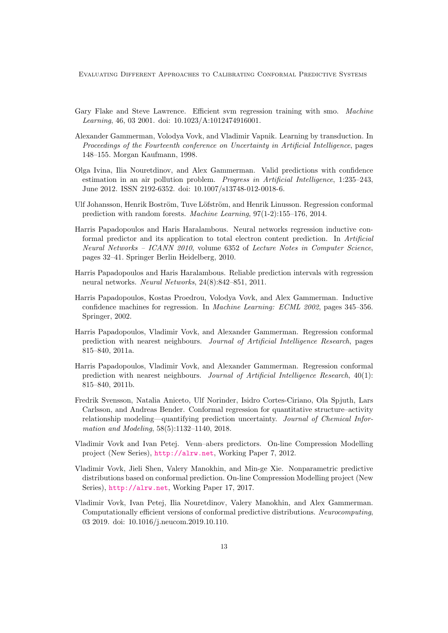- Gary Flake and Steve Lawrence. Efficient svm regression training with smo. *Machine Learning*, 46, 03 2001. doi: 10.1023/A:1012474916001.
- Alexander Gammerman, Volodya Vovk, and Vladimir Vapnik. Learning by transduction. In *Proceedings of the Fourteenth conference on Uncertainty in Artificial Intelligence*, pages 148–155. Morgan Kaufmann, 1998.
- Olga Ivina, Ilia Nouretdinov, and Alex Gammerman. Valid predictions with confidence estimation in an air pollution problem. *Progress in Artificial Intelligence*, 1:235–243, June 2012. ISSN 2192-6352. doi: 10.1007/s13748-012-0018-6.
- Ulf Johansson, Henrik Boström, Tuve Löfström, and Henrik Linusson. Regression conformal prediction with random forests. *Machine Learning*, 97(1-2):155–176, 2014.
- Harris Papadopoulos and Haris Haralambous. Neural networks regression inductive conformal predictor and its application to total electron content prediction. In *Artificial Neural Networks – ICANN 2010*, volume 6352 of *Lecture Notes in Computer Science*, pages 32–41. Springer Berlin Heidelberg, 2010.
- Harris Papadopoulos and Haris Haralambous. Reliable prediction intervals with regression neural networks. *Neural Networks*, 24(8):842–851, 2011.
- Harris Papadopoulos, Kostas Proedrou, Volodya Vovk, and Alex Gammerman. Inductive confidence machines for regression. In *Machine Learning: ECML 2002*, pages 345–356. Springer, 2002.
- Harris Papadopoulos, Vladimir Vovk, and Alexander Gammerman. Regression conformal prediction with nearest neighbours. *Journal of Artificial Intelligence Research*, pages 815–840, 2011a.
- Harris Papadopoulos, Vladimir Vovk, and Alexander Gammerman. Regression conformal prediction with nearest neighbours. *Journal of Artificial Intelligence Research*, 40(1): 815–840, 2011b.
- Fredrik Svensson, Natalia Aniceto, Ulf Norinder, Isidro Cortes-Ciriano, Ola Spjuth, Lars Carlsson, and Andreas Bender. Conformal regression for quantitative structure–activity relationship modeling—quantifying prediction uncertainty. *Journal of Chemical Information and Modeling*, 58(5):1132–1140, 2018.
- Vladimir Vovk and Ivan Petej. Venn–abers predictors. On-line Compression Modelling project (New Series), http://alrw.net, Working Paper 7, 2012.
- Vladimir Vovk, Jieli Shen, Valery Manokhin, and Min-ge Xie. Nonparametric predictive distributions based on conformal prediction. On-line Compression Modelling project (New Series), http://alrw.net, Working Paper 17, 2017.
- Vladimir Vovk, Ivan Petej, Ilia Nouretdinov, Valery Manokhin, and Alex Gammerman. Computationally efficient versions of conformal predictive distributions. *Neurocomputing*, 03 2019. doi: 10.1016/j.neucom.2019.10.110.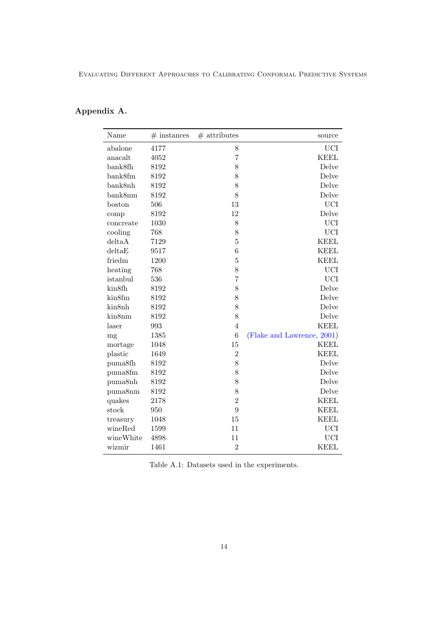# Appendix A.

| Name      | $#$ instances | $#$ attributes | source                     |
|-----------|---------------|----------------|----------------------------|
| abalone   | 4177          | 8              | <b>UCI</b>                 |
| anacalt   | 4052          | $\overline{7}$ | <b>KEEL</b>                |
| bank8fh   | 8192          | 8              | Delve                      |
| bank8fm   | 8192          | 8              | Delve                      |
| bank8nh   | 8192          | 8              | Delve                      |
| bank8nm   | 8192          | 8              | Delve                      |
| boston    | 506           | 13             | <b>UCI</b>                 |
| comp      | 8192          | 12             | Delve                      |
| concreate | 1030          | 8              | <b>UCI</b>                 |
| cooling   | 768           | 8              | <b>UCI</b>                 |
| delta A   | 7129          | $\overline{5}$ | <b>KEEL</b>                |
| delta E   | 9517          | 6              | <b>KEEL</b>                |
| friedm    | 1200          | 5              | <b>KEEL</b>                |
| heating   | 768           | 8              | <b>UCI</b>                 |
| istanbul  | 536           | $\overline{7}$ | <b>UCI</b>                 |
| kin8fh    | 8192          | 8              | Delve                      |
| kin8fm    | 8192          | 8              | Delve                      |
| kin8nh    | 8192          | 8              | Delve                      |
| kin8nm    | 8192          | 8              | Delve                      |
| laser     | 993           | $\overline{4}$ | <b>KEEL</b>                |
| mg        | 1385          | $\overline{6}$ | (Flake and Lawrence, 2001) |
| mortage   | 1048          | 15             | <b>KEEL</b>                |
| plastic   | 1649          | $\overline{2}$ | <b>KEEL</b>                |
| puma8fh   | 8192          | 8              | Delve                      |
| puma8fm   | 8192          | 8              | Delve                      |
| puma8nh   | 8192          | 8              | Delve                      |
| puma8nm   | 8192          | 8              | Delve                      |
| quakes    | 2178          | $\overline{2}$ | <b>KEEL</b>                |
| stock     | 950           | 9              | <b>KEEL</b>                |
| treasury  | 1048          | 15             | <b>KEEL</b>                |
| wineRed   | 1599          | 11             | <b>UCI</b>                 |
| wineWhite | 4898          | 11             | <b>UCI</b>                 |
| wizmir    | 1461          | $\overline{2}$ | <b>KEEL</b>                |
|           |               |                |                            |

Table A.1: Datasets used in the experiments.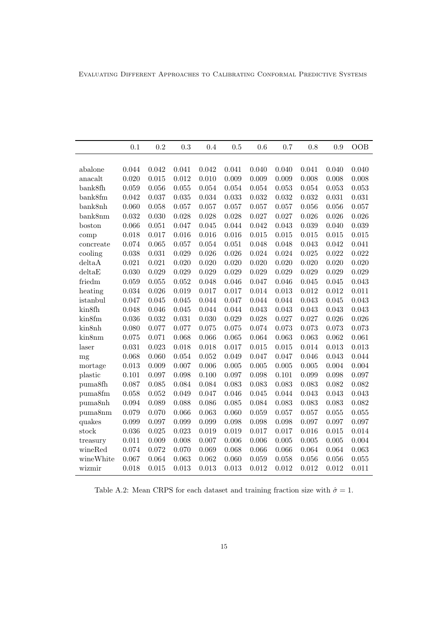|                             | 0.1   | 0.2   | 0.3   | 0.4   | 0.5   | 0.6       | 0.7   | 0.8   | 0.9   | <b>OOB</b> |
|-----------------------------|-------|-------|-------|-------|-------|-----------|-------|-------|-------|------------|
|                             |       |       |       |       |       |           |       |       |       |            |
| abalone                     | 0.044 | 0.042 | 0.041 | 0.042 | 0.041 | 0.040     | 0.040 | 0.041 | 0.040 | 0.040      |
| anacalt                     | 0.020 | 0.015 | 0.012 | 0.010 | 0.009 | 0.009     | 0.009 | 0.008 | 0.008 | 0.008      |
| bank8fh                     | 0.059 | 0.056 | 0.055 | 0.054 | 0.054 | 0.054     | 0.053 | 0.054 | 0.053 | 0.053      |
| bank8fm                     | 0.042 | 0.037 | 0.035 | 0.034 | 0.033 | 0.032     | 0.032 | 0.032 | 0.031 | 0.031      |
| bank8nh                     | 0.060 | 0.058 | 0.057 | 0.057 | 0.057 | 0.057     | 0.057 | 0.056 | 0.056 | 0.057      |
| bank8nm                     | 0.032 | 0.030 | 0.028 | 0.028 | 0.028 | 0.027     | 0.027 | 0.026 | 0.026 | 0.026      |
| boston                      | 0.066 | 0.051 | 0.047 | 0.045 | 0.044 | 0.042     | 0.043 | 0.039 | 0.040 | 0.039      |
| comp                        | 0.018 | 0.017 | 0.016 | 0.016 | 0.016 | 0.015     | 0.015 | 0.015 | 0.015 | 0.015      |
| concreate                   | 0.074 | 0.065 | 0.057 | 0.054 | 0.051 | 0.048     | 0.048 | 0.043 | 0.042 | 0.041      |
| cooling                     | 0.038 | 0.031 | 0.029 | 0.026 | 0.026 | 0.024     | 0.024 | 0.025 | 0.022 | 0.022      |
| deltaA                      | 0.021 | 0.021 | 0.020 | 0.020 | 0.020 | 0.020     | 0.020 | 0.020 | 0.020 | 0.020      |
| delta E                     | 0.030 | 0.029 | 0.029 | 0.029 | 0.029 | 0.029     | 0.029 | 0.029 | 0.029 | 0.029      |
| friedm                      | 0.059 | 0.055 | 0.052 | 0.048 | 0.046 | 0.047     | 0.046 | 0.045 | 0.045 | 0.043      |
| heating                     | 0.034 | 0.026 | 0.019 | 0.017 | 0.017 | 0.014     | 0.013 | 0.012 | 0.012 | 0.011      |
| istanbul                    | 0.047 | 0.045 | 0.045 | 0.044 | 0.047 | 0.044     | 0.044 | 0.043 | 0.045 | 0.043      |
| kin8fh                      | 0.048 | 0.046 | 0.045 | 0.044 | 0.044 | 0.043     | 0.043 | 0.043 | 0.043 | 0.043      |
| kin8fm                      | 0.036 | 0.032 | 0.031 | 0.030 | 0.029 | $0.028\,$ | 0.027 | 0.027 | 0.026 | 0.026      |
| kin8nh                      | 0.080 | 0.077 | 0.077 | 0.075 | 0.075 | 0.074     | 0.073 | 0.073 | 0.073 | 0.073      |
| kin8nm                      | 0.075 | 0.071 | 0.068 | 0.066 | 0.065 | 0.064     | 0.063 | 0.063 | 0.062 | 0.061      |
| laser                       | 0.031 | 0.023 | 0.018 | 0.018 | 0.017 | 0.015     | 0.015 | 0.014 | 0.013 | 0.013      |
| mg                          | 0.068 | 0.060 | 0.054 | 0.052 | 0.049 | 0.047     | 0.047 | 0.046 | 0.043 | 0.044      |
| mortage                     | 0.013 | 0.009 | 0.007 | 0.006 | 0.005 | 0.005     | 0.005 | 0.005 | 0.004 | 0.004      |
| plastic                     | 0.101 | 0.097 | 0.098 | 0.100 | 0.097 | 0.098     | 0.101 | 0.099 | 0.098 | 0.097      |
| puma8fh                     | 0.087 | 0.085 | 0.084 | 0.084 | 0.083 | 0.083     | 0.083 | 0.083 | 0.082 | 0.082      |
| $\upmu \text{m}a8\text{fm}$ | 0.058 | 0.052 | 0.049 | 0.047 | 0.046 | 0.045     | 0.044 | 0.043 | 0.043 | 0.043      |
| puma8nh                     | 0.094 | 0.089 | 0.088 | 0.086 | 0.085 | 0.084     | 0.083 | 0.083 | 0.083 | 0.082      |
| puma8nm                     | 0.079 | 0.070 | 0.066 | 0.063 | 0.060 | 0.059     | 0.057 | 0.057 | 0.055 | 0.055      |
| quakes                      | 0.099 | 0.097 | 0.099 | 0.099 | 0.098 | 0.098     | 0.098 | 0.097 | 0.097 | 0.097      |
| stock                       | 0.036 | 0.025 | 0.023 | 0.019 | 0.019 | 0.017     | 0.017 | 0.016 | 0.015 | 0.014      |
| treasury                    | 0.011 | 0.009 | 0.008 | 0.007 | 0.006 | 0.006     | 0.005 | 0.005 | 0.005 | 0.004      |
| wineRed                     | 0.074 | 0.072 | 0.070 | 0.069 | 0.068 | 0.066     | 0.066 | 0.064 | 0.064 | 0.063      |
| wineWhite                   | 0.067 | 0.064 | 0.063 | 0.062 | 0.060 | 0.059     | 0.058 | 0.056 | 0.056 | 0.055      |
| wizmir                      | 0.018 | 0.015 | 0.013 | 0.013 | 0.013 | 0.012     | 0.012 | 0.012 | 0.012 | 0.011      |

Table A.2: Mean CRPS for each dataset and training fraction size with  $\hat{\sigma} = 1$ .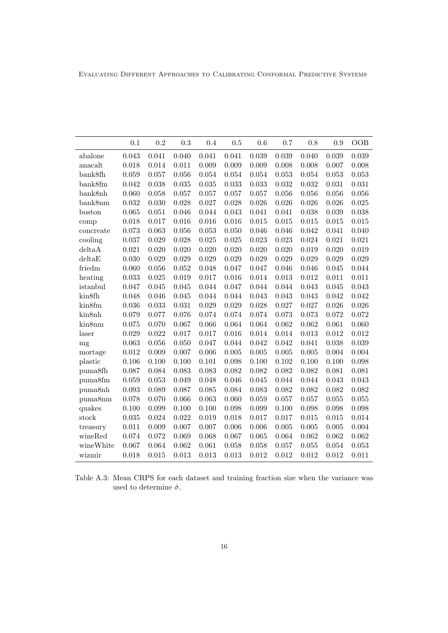|                     | 0.1            | 0.2            | 0.3            | 0.4                  | $0.5\,$        | 0.6            | 0.7                  | 0.8            | 0.9            | OOB            |
|---------------------|----------------|----------------|----------------|----------------------|----------------|----------------|----------------------|----------------|----------------|----------------|
|                     |                |                |                |                      |                |                |                      |                |                |                |
| abalone             | 0.043          | 0.041          | 0.040          | 0.041                | 0.041          | 0.039          | 0.039                | 0.040          | 0.039          | 0.039          |
| anacalt             | 0.018          | 0.014          | 0.011          | 0.009                | 0.009          | 0.009          | 0.008                | 0.008          | 0.007          | 0.008          |
| bank8fh             | 0.059<br>0.042 | 0.057<br>0.038 | 0.056          | $\,0.054\,$<br>0.035 | 0.054<br>0.033 | 0.054<br>0.033 | 0.053<br>$\,0.032\,$ | 0.054          | 0.053<br>0.031 | 0.053          |
| bank8fm             | 0.060          |                | 0.035          |                      |                |                |                      | 0.032          |                | 0.031          |
| bank8nh             | 0.032          | 0.058<br>0.030 | 0.057<br>0.028 | 0.057<br>0.027       | 0.057<br>0.028 | 0.057<br>0.026 | 0.056<br>0.026       | 0.056<br>0.026 | 0.056<br>0.026 | 0.056          |
| bank8nm             | 0.065          | 0.051          | 0.046          | 0.044                | 0.043          | 0.041          | 0.041                | 0.038          | 0.039          | 0.025<br>0.038 |
| boston              | 0.018          | 0.017          | 0.016          | 0.016                | 0.016          | 0.015          | 0.015                | 0.015          | 0.015          | 0.015          |
| comp                |                |                |                |                      |                |                |                      |                |                |                |
| concreate           | 0.073<br>0.037 | 0.063<br>0.029 | 0.056<br>0.028 | 0.053<br>0.025       | 0.050<br>0.025 | 0.046<br>0.023 | 0.046<br>0.023       | 0.042<br>0.024 | 0.041<br>0.021 | 0.040<br>0.021 |
| cooling<br>deltaA   | 0.021          | 0.020          | 0.020          | 0.020                | 0.020          | 0.020          | 0.020                | 0.019          | 0.020          | 0.019          |
| delta E             | 0.030          | 0.029          | 0.029          | 0.029                | 0.029          | 0.029          | 0.029                | 0.029          | 0.029          | 0.029          |
| friedm              | 0.060          | 0.056          | 0.052          | 0.048                | 0.047          | 0.047          | 0.046                | 0.046          | 0.045          | 0.044          |
|                     | 0.033          | 0.025          | 0.019          | 0.017                | 0.016          | 0.014          | 0.013                | 0.012          | 0.011          | 0.011          |
| heating             | 0.047          | 0.045          | 0.045          | 0.044                | 0.047          | 0.044          | 0.044                | 0.043          | 0.045          | 0.043          |
| istanbul<br>kin8fh  | 0.048          | 0.046          | 0.045          | 0.044                | 0.044          | 0.043          | 0.043                | 0.043          | 0.042          | 0.042          |
| kin8fm              | 0.036          | 0.033          | 0.031          | 0.029                | 0.029          | 0.028          | 0.027                | 0.027          | 0.026          | 0.026          |
| kin8nh              | 0.079          | 0.077          | 0.076          | 0.074                | 0.074          | 0.074          | 0.073                | 0.073          | 0.072          | 0.072          |
| kin8nm              | $0.075\,$      | 0.070          | 0.067          | 0.066                | 0.064          | 0.064          | 0.062                | 0.062          | 0.061          | 0.060          |
| laser               | 0.029          | 0.022          | 0.017          | 0.017                | 0.016          | 0.014          | 0.014                | 0.013          | 0.012          | 0.012          |
| mg                  | 0.063          | 0.056          | 0.050          | 0.047                | 0.044          | 0.042          | 0.042                | 0.041          | 0.038          | 0.039          |
| mortage             | 0.012          | 0.009          | 0.007          | 0.006                | 0.005          | 0.005          | 0.005                | 0.005          | 0.004          | 0.004          |
| plastic             | 0.106          | 0.100          | 0.100          | 0.101                | 0.098          | 0.100          | 0.102                | 0.100          | 0.100          | 0.098          |
| puma <sub>8fh</sub> | 0.087          | 0.084          | 0.083          | 0.083                | 0.082          | 0.082          | 0.082                | 0.082          | 0.081          | 0.081          |
| puma8fm             | 0.059          | 0.053          | 0.049          | 0.048                | 0.046          | 0.045          | 0.044                | 0.044          | 0.043          | 0.043          |
| puma8nh             | 0.093          | 0.089          | 0.087          | 0.085                | 0.084          | 0.083          | 0.082                | 0.082          | 0.082          | 0.082          |
| puma8nm             | 0.078          | 0.070          | 0.066          | 0.063                | 0.060          | 0.059          | 0.057                | 0.057          | 0.055          | 0.055          |
| quakes              | 0.100          | 0.099          | 0.100          | 0.100                | 0.098          | 0.099          | 0.100                | 0.098          | 0.098          | 0.098          |
| stock               | 0.035          | 0.024          | 0.022          | 0.019                | 0.018          | 0.017          | 0.017                | 0.015          | 0.015          | 0.014          |
| treasury            | 0.011          | 0.009          | 0.007          | 0.007                | 0.006          | 0.006          | 0.005                | 0.005          | 0.005          | 0.004          |
| wineRed             | 0.074          | 0.072          | 0.069          | 0.068                | 0.067          | 0.065          | 0.064                | 0.062          | 0.062          | 0.062          |
| wineWhite           | 0.067          | 0.064          | 0.062          | 0.061                | 0.058          | 0.058          | 0.057                | 0.055          | 0.054          | 0.053          |
| wizmir              | 0.018          | 0.015          | 0.013          | 0.013                | 0.013          | 0.012          | 0.012                | 0.012          | 0.012          | 0.011          |

Table A.3: Mean CRPS for each dataset and training fraction size when the variance was used to determine  $\hat{\sigma}$ .